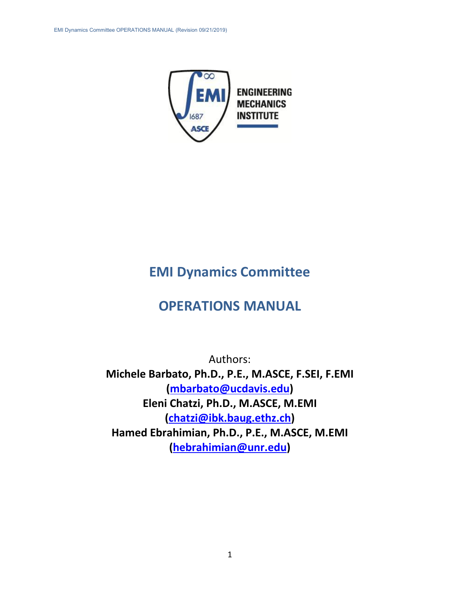

# **EMI Dynamics Committee**

# **OPERATIONS MANUAL**

<span id="page-0-0"></span>Authors: **Michele Barbato, Ph.D., P.E., M.ASCE, F.SEI, F.EMI [\(mbarbato@ucdavis.edu\)](mailto:mbarbato@ucdavis.edu) Eleni Chatzi, Ph.D., M.ASCE, M.EMI [\(chatzi@ibk.baug.ethz.ch\)](mailto:chatzi@ibk.baug.ethz.ch) Hamed Ebrahimian, Ph.D., P.E., M.ASCE, M.EMI (hebrahimian@unr.edu)**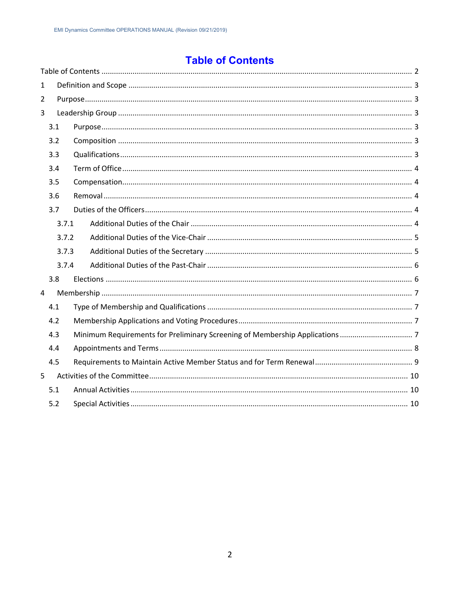# **Table of Contents**

| $\mathbf{1}$   |       |  |
|----------------|-------|--|
| $\overline{2}$ |       |  |
| 3              |       |  |
|                | 3.1   |  |
|                | 3.2   |  |
|                | 3.3   |  |
|                | 3.4   |  |
|                | 3.5   |  |
|                | 3.6   |  |
|                | 3.7   |  |
|                | 3.7.1 |  |
|                | 3.7.2 |  |
|                | 3.7.3 |  |
|                | 3.7.4 |  |
|                | 3.8   |  |
| 4              |       |  |
|                | 4.1   |  |
|                | 4.2   |  |
|                | 4.3   |  |
|                | 4.4   |  |
|                | 4.5   |  |
| 5              |       |  |
|                | 5.1   |  |
|                | 5.2   |  |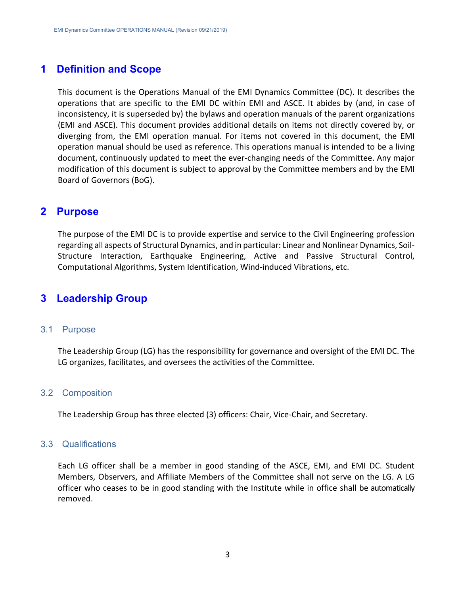## <span id="page-2-0"></span>**1 Definition and Scope**

This document is the Operations Manual of the EMI Dynamics Committee (DC). It describes the operations that are specific to the EMI DC within EMI and ASCE. It abides by (and, in case of inconsistency, it is superseded by) the bylaws and operation manuals of the parent organizations (EMI and ASCE). This document provides additional details on items not directly covered by, or diverging from, the EMI operation manual. For items not covered in this document, the EMI operation manual should be used as reference. This operations manual is intended to be a living document, continuously updated to meet the ever-changing needs of the Committee. Any major modification of this document is subject to approval by the Committee members and by the EMI Board of Governors (BoG).

## <span id="page-2-1"></span>**2 Purpose**

The purpose of the EMI DC is to provide expertise and service to the Civil Engineering profession regarding all aspects of Structural Dynamics, and in particular: Linear and Nonlinear Dynamics, Soil-Structure Interaction, Earthquake Engineering, Active and Passive Structural Control, Computational Algorithms, System Identification, Wind-induced Vibrations, etc.

## <span id="page-2-2"></span>**3 Leadership Group**

#### <span id="page-2-3"></span>3.1 Purpose

The Leadership Group (LG) has the responsibility for governance and oversight of the EMI DC. The LG organizes, facilitates, and oversees the activities of the Committee.

#### <span id="page-2-4"></span>3.2 Composition

The Leadership Group has three elected (3) officers: Chair, Vice-Chair, and Secretary.

#### <span id="page-2-5"></span>3.3 Qualifications

Each LG officer shall be a member in good standing of the ASCE, EMI, and EMI DC. Student Members, Observers, and Affiliate Members of the Committee shall not serve on the LG. A LG officer who ceases to be in good standing with the Institute while in office shall be automatically removed.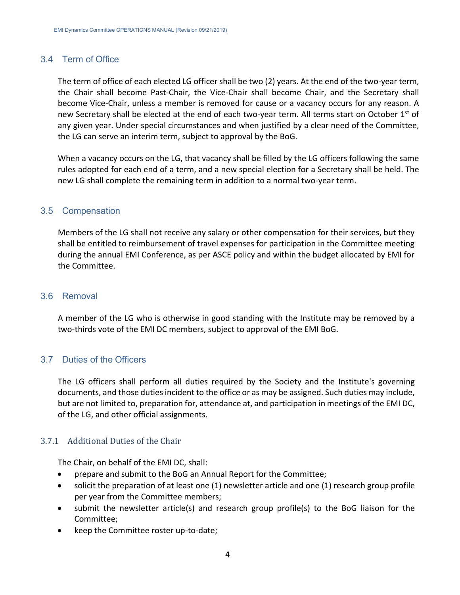## <span id="page-3-0"></span>3.4 Term of Office

The term of office of each elected LG officer shall be two (2) years. At the end of the two-year term, the Chair shall become Past-Chair, the Vice-Chair shall become Chair, and the Secretary shall become Vice-Chair, unless a member is removed for cause or a vacancy occurs for any reason. A new Secretary shall be elected at the end of each two-year term. All terms start on October 1<sup>st</sup> of any given year. Under special circumstances and when justified by a clear need of the Committee, the LG can serve an interim term, subject to approval by the BoG.

When a vacancy occurs on the LG, that vacancy shall be filled by the LG officers following the same rules adopted for each end of a term, and a new special election for a Secretary shall be held. The new LG shall complete the remaining term in addition to a normal two-year term.

## <span id="page-3-1"></span>3.5 Compensation

Members of the LG shall not receive any salary or other compensation for their services, but they shall be entitled to reimbursement of travel expenses for participation in the Committee meeting during the annual EMI Conference, as per ASCE policy and within the budget allocated by EMI for the Committee.

## <span id="page-3-2"></span>3.6 Removal

A member of the LG who is otherwise in good standing with the Institute may be removed by a two-thirds vote of the EMI DC members, subject to approval of the EMI BoG.

## <span id="page-3-3"></span>3.7 Duties of the Officers

The LG officers shall perform all duties required by the Society and the Institute's governing documents, and those duties incident to the office or as may be assigned. Such duties may include, but are not limited to, preparation for, attendance at, and participation in meetings of the EMI DC, of the LG, and other official assignments.

#### <span id="page-3-4"></span>3.7.1 Additional Duties of the Chair

The Chair, on behalf of the EMI DC, shall:

- prepare and submit to the BoG an Annual Report for the Committee;
- solicit the preparation of at least one (1) newsletter article and one (1) research group profile per year from the Committee members;
- submit the newsletter article(s) and research group profile(s) to the BoG liaison for the Committee;
- keep the Committee roster up-to-date;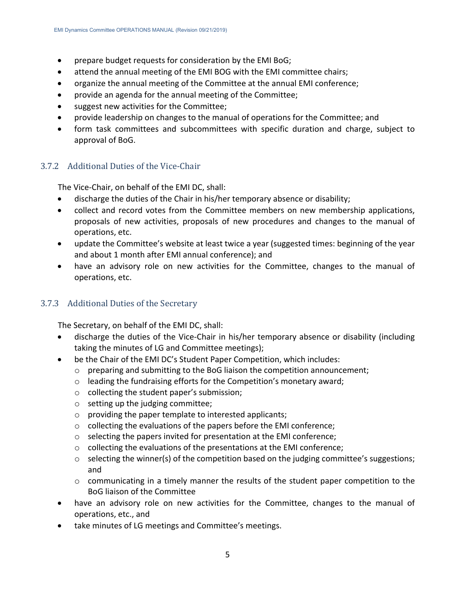- prepare budget requests for consideration by the EMI BoG;
- attend the annual meeting of the EMI BOG with the EMI committee chairs;
- organize the annual meeting of the Committee at the annual EMI conference;
- provide an agenda for the annual meeting of the Committee;
- suggest new activities for the Committee;
- provide leadership on changes to the manual of operations for the Committee; and
- form task committees and subcommittees with specific duration and charge, subject to approval of BoG.

## <span id="page-4-0"></span>3.7.2 Additional Duties of the Vice-Chair

The Vice-Chair, on behalf of the EMI DC, shall:

- discharge the duties of the Chair in his/her temporary absence or disability;
- collect and record votes from the Committee members on new membership applications, proposals of new activities, proposals of new procedures and changes to the manual of operations, etc.
- update the Committee's website at least twice a year (suggested times: beginning of the year and about 1 month after EMI annual conference); and
- have an advisory role on new activities for the Committee, changes to the manual of operations, etc.

## <span id="page-4-1"></span>3.7.3 Additional Duties of the Secretary

The Secretary, on behalf of the EMI DC, shall:

- discharge the duties of the Vice-Chair in his/her temporary absence or disability (including taking the minutes of LG and Committee meetings);
- be the Chair of the EMI DC's Student Paper Competition, which includes:
	- $\circ$  preparing and submitting to the BoG liaison the competition announcement;
	- o leading the fundraising efforts for the Competition's monetary award;
	- o collecting the student paper's submission;
	- o setting up the judging committee;
	- o providing the paper template to interested applicants;
	- o collecting the evaluations of the papers before the EMI conference;
	- o selecting the papers invited for presentation at the EMI conference;
	- o collecting the evaluations of the presentations at the EMI conference;
	- o selecting the winner(s) of the competition based on the judging committee's suggestions; and
	- o communicating in a timely manner the results of the student paper competition to the BoG liaison of the Committee
- have an advisory role on new activities for the Committee, changes to the manual of operations, etc., and
- take minutes of LG meetings and Committee's meetings.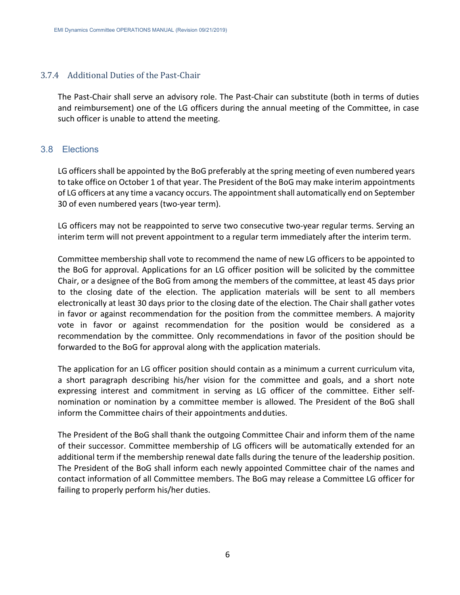## <span id="page-5-0"></span>3.7.4 Additional Duties of the Past-Chair

The Past-Chair shall serve an advisory role. The Past-Chair can substitute (both in terms of duties and reimbursement) one of the LG officers during the annual meeting of the Committee, in case such officer is unable to attend the meeting.

## <span id="page-5-1"></span>3.8 Elections

LG officers shall be appointed by the BoG preferably at the spring meeting of even numbered years to take office on October 1 of that year. The President of the BoG may make interim appointments of LG officers at any time a vacancy occurs. The appointment shall automatically end on September 30 of even numbered years (two-year term).

LG officers may not be reappointed to serve two consecutive two-year regular terms. Serving an interim term will not prevent appointment to a regular term immediately after the interim term.

Committee membership shall vote to recommend the name of new LG officers to be appointed to the BoG for approval. Applications for an LG officer position will be solicited by the committee Chair, or a designee of the BoG from among the members of the committee, at least 45 days prior to the closing date of the election. The application materials will be sent to all members electronically at least 30 days prior to the closing date of the election. The Chair shall gather votes in favor or against recommendation for the position from the committee members. A majority vote in favor or against recommendation for the position would be considered as a recommendation by the committee. Only recommendations in favor of the position should be forwarded to the BoG for approval along with the application materials.

The application for an LG officer position should contain as a minimum a current curriculum vita, a short paragraph describing his/her vision for the committee and goals, and a short note expressing interest and commitment in serving as LG officer of the committee. Either selfnomination or nomination by a committee member is allowed. The President of the BoG shall inform the Committee chairs of their appointments and duties.

The President of the BoG shall thank the outgoing Committee Chair and inform them of the name of their successor. Committee membership of LG officers will be automatically extended for an additional term if the membership renewal date falls during the tenure of the leadership position. The President of the BoG shall inform each newly appointed Committee chair of the names and contact information of all Committee members. The BoG may release a Committee LG officer for failing to properly perform his/her duties.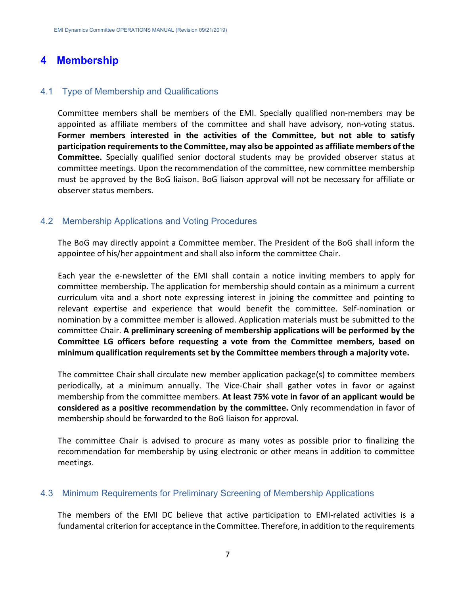## <span id="page-6-0"></span>**4 Membership**

## <span id="page-6-1"></span>4.1 Type of Membership and Qualifications

Committee members shall be members of the EMI. Specially qualified non-members may be appointed as affiliate members of the committee and shall have advisory, non-voting status. **Former members interested in the activities of the Committee, but not able to satisfy participation requirements to the Committee, may also be appointed as affiliate members of the Committee.** Specially qualified senior doctoral students may be provided observer status at committee meetings. Upon the recommendation of the committee, new committee membership must be approved by the BoG liaison. BoG liaison approval will not be necessary for affiliate or observer status members.

## <span id="page-6-2"></span>4.2 Membership Applications and Voting Procedures

The BoG may directly appoint a Committee member. The President of the BoG shall inform the appointee of his/her appointment and shall also inform the committee Chair.

Each year the e-newsletter of the EMI shall contain a notice inviting members to apply for committee membership. The application for membership should contain as a minimum a current curriculum vita and a short note expressing interest in joining the committee and pointing to relevant expertise and experience that would benefit the committee. Self-nomination or nomination by a committee member is allowed. Application materials must be submitted to the committee Chair. **A preliminary screening of membership applications will be performed by the Committee LG officers before requesting a vote from the Committee members, based on minimum qualification requirements set by the Committee members through a majority vote.**

The committee Chair shall circulate new member application package(s) to committee members periodically, at a minimum annually. The Vice-Chair shall gather votes in favor or against membership from the committee members. **At least 75% vote in favor of an applicant would be considered as a positive recommendation by the committee.** Only recommendation in favor of membership should be forwarded to the BoG liaison for approval.

The committee Chair is advised to procure as many votes as possible prior to finalizing the recommendation for membership by using electronic or other means in addition to committee meetings.

#### <span id="page-6-3"></span>4.3 Minimum Requirements for Preliminary Screening of Membership Applications

The members of the EMI DC believe that active participation to EMI-related activities is a fundamental criterion for acceptance in the Committee. Therefore, in addition to the requirements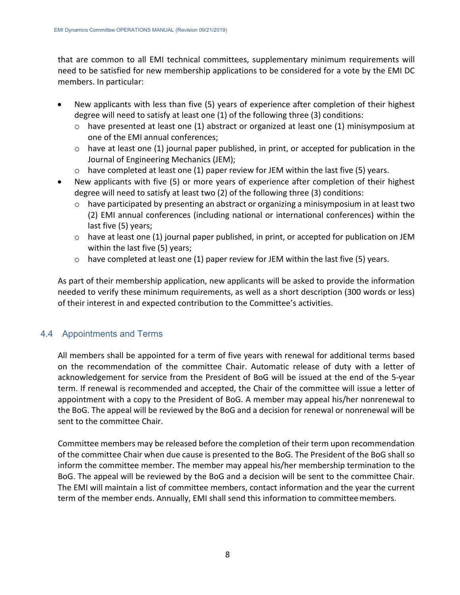that are common to all EMI technical committees, supplementary minimum requirements will need to be satisfied for new membership applications to be considered for a vote by the EMI DC members. In particular:

- New applicants with less than five (5) years of experience after completion of their highest degree will need to satisfy at least one (1) of the following three (3) conditions:
	- $\circ$  have presented at least one (1) abstract or organized at least one (1) minisymposium at one of the EMI annual conferences;
	- $\circ$  have at least one (1) journal paper published, in print, or accepted for publication in the Journal of Engineering Mechanics (JEM);
	- $\circ$  have completed at least one (1) paper review for JEM within the last five (5) years.
- New applicants with five (5) or more years of experience after completion of their highest degree will need to satisfy at least two (2) of the following three (3) conditions:
	- $\circ$  have participated by presenting an abstract or organizing a minisymposium in at least two (2) EMI annual conferences (including national or international conferences) within the last five (5) years;
	- $\circ$  have at least one (1) journal paper published, in print, or accepted for publication on JEM within the last five (5) years;
	- $\circ$  have completed at least one (1) paper review for JEM within the last five (5) years.

As part of their membership application, new applicants will be asked to provide the information needed to verify these minimum requirements, as well as a short description (300 words or less) of their interest in and expected contribution to the Committee's activities.

## <span id="page-7-0"></span>4.4 Appointments and Terms

All members shall be appointed for a term of five years with renewal for additional terms based on the recommendation of the committee Chair. Automatic release of duty with a letter of acknowledgement for service from the President of BoG will be issued at the end of the 5-year term. If renewal is recommended and accepted, the Chair of the committee will issue a letter of appointment with a copy to the President of BoG. A member may appeal his/her nonrenewal to the BoG. The appeal will be reviewed by the BoG and a decision for renewal or nonrenewal will be sent to the committee Chair.

Committee members may be released before the completion of their term upon recommendation of the committee Chair when due cause is presented to the BoG. The President of the BoG shall so inform the committee member. The member may appeal his/her membership termination to the BoG. The appeal will be reviewed by the BoG and a decision will be sent to the committee Chair. The EMI will maintain a list of committee members, contact information and the year the current term of the member ends. Annually, EMI shall send this information to committeemembers.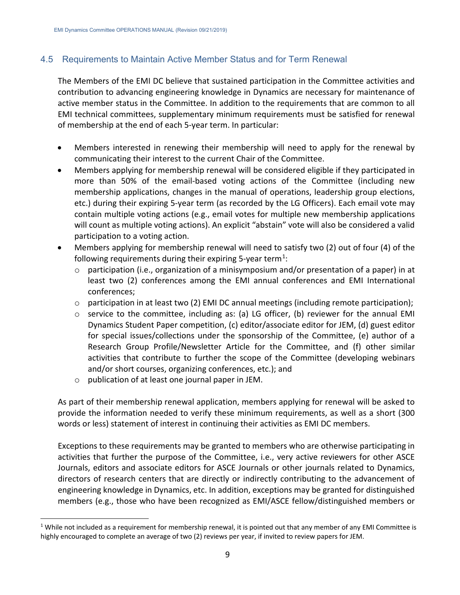## <span id="page-8-0"></span>4.5 Requirements to Maintain Active Member Status and for Term Renewal

The Members of the EMI DC believe that sustained participation in the Committee activities and contribution to advancing engineering knowledge in Dynamics are necessary for maintenance of active member status in the Committee. In addition to the requirements that are common to all EMI technical committees, supplementary minimum requirements must be satisfied for renewal of membership at the end of each 5-year term. In particular:

- Members interested in renewing their membership will need to apply for the renewal by communicating their interest to the current Chair of the Committee.
- Members applying for membership renewal will be considered eligible if they participated in more than 50% of the email-based voting actions of the Committee (including new membership applications, changes in the manual of operations, leadership group elections, etc.) during their expiring 5-year term (as recorded by the LG Officers). Each email vote may contain multiple voting actions (e.g., email votes for multiple new membership applications will count as multiple voting actions). An explicit "abstain" vote will also be considered a valid participation to a voting action.
- Members applying for membership renewal will need to satisfy two (2) out of four (4) of the following requirements during their expiring 5-year term<sup>[1](#page-8-1)</sup>:
	- $\circ$  participation (i.e., organization of a minisymposium and/or presentation of a paper) in at least two (2) conferences among the EMI annual conferences and EMI International conferences;
	- $\circ$  participation in at least two (2) EMI DC annual meetings (including remote participation);
	- o service to the committee, including as: (a) LG officer, (b) reviewer for the annual EMI Dynamics Student Paper competition, (c) editor/associate editor for JEM, (d) guest editor for special issues/collections under the sponsorship of the Committee, (e) author of a Research Group Profile/Newsletter Article for the Committee, and (f) other similar activities that contribute to further the scope of the Committee (developing webinars and/or short courses, organizing conferences, etc.); and
	- o publication of at least one journal paper in JEM.

As part of their membership renewal application, members applying for renewal will be asked to provide the information needed to verify these minimum requirements, as well as a short (300 words or less) statement of interest in continuing their activities as EMI DC members.

Exceptions to these requirements may be granted to members who are otherwise participating in activities that further the purpose of the Committee, i.e., very active reviewers for other ASCE Journals, editors and associate editors for ASCE Journals or other journals related to Dynamics, directors of research centers that are directly or indirectly contributing to the advancement of engineering knowledge in Dynamics, etc. In addition, exceptions may be granted for distinguished members (e.g., those who have been recognized as EMI/ASCE fellow/distinguished members or

<span id="page-8-1"></span> $1$  While not included as a requirement for membership renewal, it is pointed out that any member of any EMI Committee is highly encouraged to complete an average of two (2) reviews per year, if invited to review papers for JEM.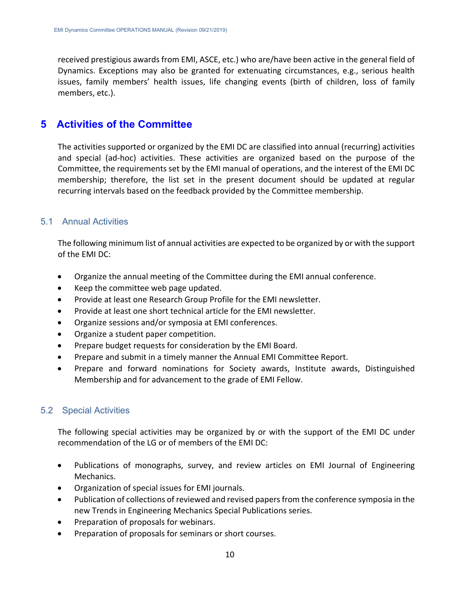received prestigious awards from EMI, ASCE, etc.) who are/have been active in the general field of Dynamics. Exceptions may also be granted for extenuating circumstances, e.g., serious health issues, family members' health issues, life changing events (birth of children, loss of family members, etc.).

## <span id="page-9-0"></span>**5 Activities of the Committee**

The activities supported or organized by the EMI DC are classified into annual (recurring) activities and special (ad-hoc) activities. These activities are organized based on the purpose of the Committee, the requirements set by the EMI manual of operations, and the interest of the EMI DC membership; therefore, the list set in the present document should be updated at regular recurring intervals based on the feedback provided by the Committee membership.

## <span id="page-9-1"></span>5.1 Annual Activities

The following minimum list of annual activities are expected to be organized by or with the support of the EMI DC:

- Organize the annual meeting of the Committee during the EMI annual conference.
- Keep the committee web page updated.
- Provide at least one Research Group Profile for the EMI newsletter.
- Provide at least one short technical article for the EMI newsletter.
- Organize sessions and/or symposia at EMI conferences.
- Organize a student paper competition.
- Prepare budget requests for consideration by the EMI Board.
- Prepare and submit in a timely manner the Annual EMI Committee Report.
- Prepare and forward nominations for Society awards, Institute awards, Distinguished Membership and for advancement to the grade of EMI Fellow.

## <span id="page-9-2"></span>5.2 Special Activities

The following special activities may be organized by or with the support of the EMI DC under recommendation of the LG or of members of the EMI DC:

- Publications of monographs, survey, and review articles on EMI Journal of Engineering Mechanics.
- Organization of special issues for EMI journals.
- Publication of collections of reviewed and revised papers from the conference symposia in the new Trends in Engineering Mechanics Special Publications series.
- Preparation of proposals for webinars.
- Preparation of proposals for seminars or short courses.